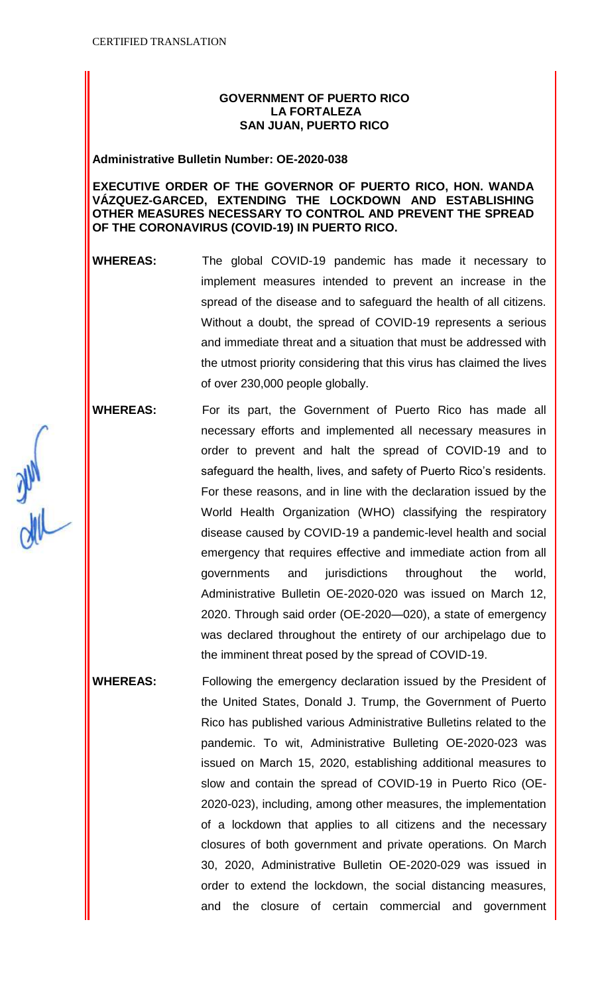# **GOVERNMENT OF PUERTO RICO LA FORTALEZA SAN JUAN, PUERTO RICO**

#### **Administrative Bulletin Number: OE-2020-038**

# **EXECUTIVE ORDER OF THE GOVERNOR OF PUERTO RICO, HON. WANDA VÁZQUEZ-GARCED, EXTENDING THE LOCKDOWN AND ESTABLISHING OTHER MEASURES NECESSARY TO CONTROL AND PREVENT THE SPREAD OF THE CORONAVIRUS (COVID-19) IN PUERTO RICO.**

**WHEREAS:** The global COVID-19 pandemic has made it necessary to implement measures intended to prevent an increase in the spread of the disease and to safeguard the health of all citizens. Without a doubt, the spread of COVID-19 represents a serious and immediate threat and a situation that must be addressed with the utmost priority considering that this virus has claimed the lives of over 230,000 people globally.

**WHEREAS:** For its part, the Government of Puerto Rico has made all necessary efforts and implemented all necessary measures in order to prevent and halt the spread of COVID-19 and to safeguard the health, lives, and safety of Puerto Rico's residents. For these reasons, and in line with the declaration issued by the World Health Organization (WHO) classifying the respiratory disease caused by COVID-19 a pandemic-level health and social emergency that requires effective and immediate action from all governments and jurisdictions throughout the world, Administrative Bulletin OE-2020-020 was issued on March 12, 2020. Through said order (OE-2020—020), a state of emergency was declared throughout the entirety of our archipelago due to the imminent threat posed by the spread of COVID-19.

**WHEREAS:** Following the emergency declaration issued by the President of the United States, Donald J. Trump, the Government of Puerto Rico has published various Administrative Bulletins related to the pandemic. To wit, Administrative Bulleting OE-2020-023 was issued on March 15, 2020, establishing additional measures to slow and contain the spread of COVID-19 in Puerto Rico (OE-2020-023), including, among other measures, the implementation of a lockdown that applies to all citizens and the necessary closures of both government and private operations. On March 30, 2020, Administrative Bulletin OE-2020-029 was issued in order to extend the lockdown, the social distancing measures, and the closure of certain commercial and government

Jul<br>Jul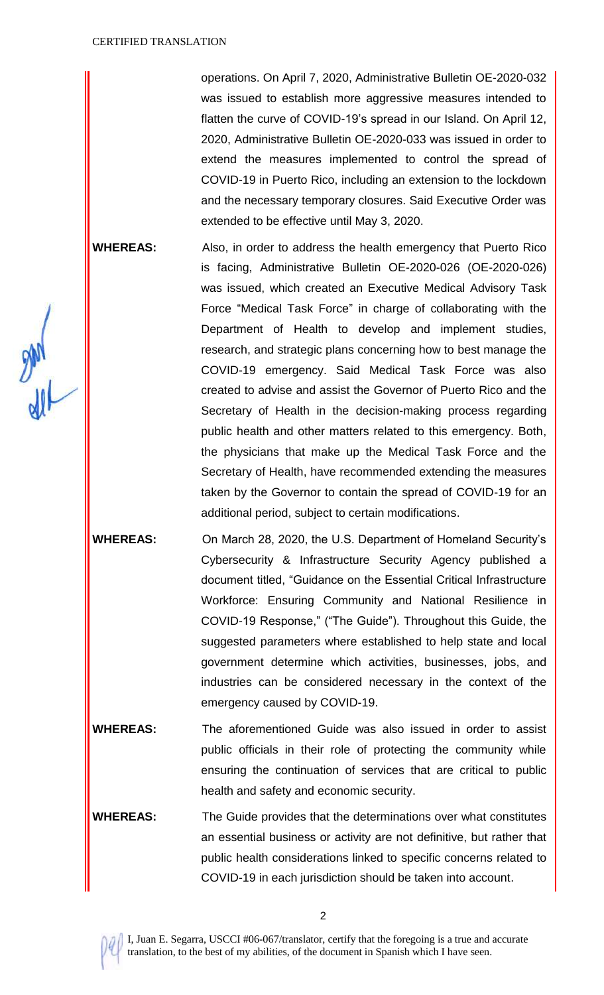operations. On April 7, 2020, Administrative Bulletin OE-2020-032 was issued to establish more aggressive measures intended to flatten the curve of COVID-19's spread in our Island. On April 12, 2020, Administrative Bulletin OE-2020-033 was issued in order to extend the measures implemented to control the spread of COVID-19 in Puerto Rico, including an extension to the lockdown and the necessary temporary closures. Said Executive Order was extended to be effective until May 3, 2020.

**WHEREAS:** Also, in order to address the health emergency that Puerto Rico is facing, Administrative Bulletin OE-2020-026 (OE-2020-026) was issued, which created an Executive Medical Advisory Task Force "Medical Task Force" in charge of collaborating with the Department of Health to develop and implement studies, research, and strategic plans concerning how to best manage the COVID-19 emergency. Said Medical Task Force was also created to advise and assist the Governor of Puerto Rico and the Secretary of Health in the decision-making process regarding public health and other matters related to this emergency. Both, the physicians that make up the Medical Task Force and the Secretary of Health, have recommended extending the measures taken by the Governor to contain the spread of COVID-19 for an additional period, subject to certain modifications.

**WHEREAS:** On March 28, 2020, the U.S. Department of Homeland Security's Cybersecurity & Infrastructure Security Agency published a document titled, "Guidance on the Essential Critical Infrastructure Workforce: Ensuring Community and National Resilience in COVID-19 Response," ("The Guide"). Throughout this Guide, the suggested parameters where established to help state and local government determine which activities, businesses, jobs, and industries can be considered necessary in the context of the emergency caused by COVID-19.

**WHEREAS:** The aforementioned Guide was also issued in order to assist public officials in their role of protecting the community while ensuring the continuation of services that are critical to public health and safety and economic security.

**WHEREAS:** The Guide provides that the determinations over what constitutes an essential business or activity are not definitive, but rather that public health considerations linked to specific concerns related to COVID-19 in each jurisdiction should be taken into account.

 $\frac{1}{2}$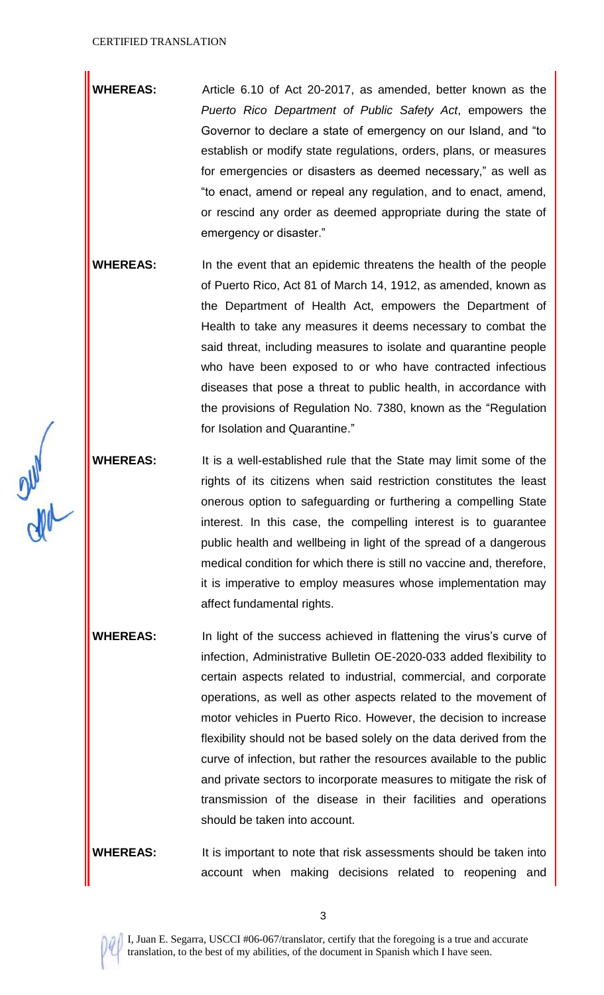- **WHEREAS:** Article 6.10 of Act 20-2017, as amended, better known as the *Puerto Rico Department of Public Safety Act*, empowers the Governor to declare a state of emergency on our Island, and "to establish or modify state regulations, orders, plans, or measures for emergencies or disasters as deemed necessary," as well as "to enact, amend or repeal any regulation, and to enact, amend, or rescind any order as deemed appropriate during the state of emergency or disaster."
- **WHEREAS:** In the event that an epidemic threatens the health of the people of Puerto Rico, Act 81 of March 14, 1912, as amended, known as the Department of Health Act, empowers the Department of Health to take any measures it deems necessary to combat the said threat, including measures to isolate and quarantine people who have been exposed to or who have contracted infectious diseases that pose a threat to public health, in accordance with the provisions of Regulation No. 7380, known as the "Regulation for Isolation and Quarantine."
- **WHEREAS:** It is a well-established rule that the State may limit some of the rights of its citizens when said restriction constitutes the least onerous option to safeguarding or furthering a compelling State interest. In this case, the compelling interest is to guarantee public health and wellbeing in light of the spread of a dangerous medical condition for which there is still no vaccine and, therefore, it is imperative to employ measures whose implementation may affect fundamental rights.
- **WHEREAS:** In light of the success achieved in flattening the virus's curve of infection, Administrative Bulletin OE-2020-033 added flexibility to certain aspects related to industrial, commercial, and corporate operations, as well as other aspects related to the movement of motor vehicles in Puerto Rico. However, the decision to increase flexibility should not be based solely on the data derived from the curve of infection, but rather the resources available to the public and private sectors to incorporate measures to mitigate the risk of transmission of the disease in their facilities and operations should be taken into account.

**WHEREAS:** It is important to note that risk assessments should be taken into account when making decisions related to reopening and

ole of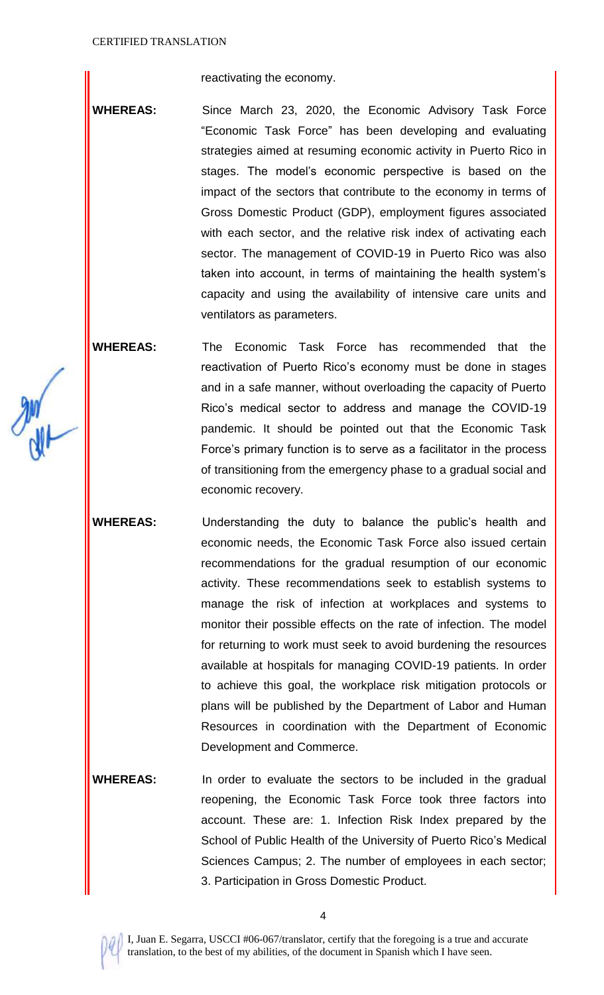reactivating the economy.

WHEREAS: Since March 23, 2020, the Economic Advisory Task Force "Economic Task Force" has been developing and evaluating strategies aimed at resuming economic activity in Puerto Rico in stages. The model's economic perspective is based on the impact of the sectors that contribute to the economy in terms of Gross Domestic Product (GDP), employment figures associated with each sector, and the relative risk index of activating each sector. The management of COVID-19 in Puerto Rico was also taken into account, in terms of maintaining the health system's capacity and using the availability of intensive care units and ventilators as parameters.

**WHEREAS:** The Economic Task Force has recommended that the reactivation of Puerto Rico's economy must be done in stages and in a safe manner, without overloading the capacity of Puerto Rico's medical sector to address and manage the COVID-19 pandemic. It should be pointed out that the Economic Task Force's primary function is to serve as a facilitator in the process of transitioning from the emergency phase to a gradual social and economic recovery.

**WHEREAS:** Understanding the duty to balance the public's health and economic needs, the Economic Task Force also issued certain recommendations for the gradual resumption of our economic activity. These recommendations seek to establish systems to manage the risk of infection at workplaces and systems to monitor their possible effects on the rate of infection. The model for returning to work must seek to avoid burdening the resources available at hospitals for managing COVID-19 patients. In order to achieve this goal, the workplace risk mitigation protocols or plans will be published by the Department of Labor and Human Resources in coordination with the Department of Economic Development and Commerce.

**WHEREAS:** In order to evaluate the sectors to be included in the gradual reopening, the Economic Task Force took three factors into account. These are: 1. Infection Risk Index prepared by the School of Public Health of the University of Puerto Rico's Medical Sciences Campus; 2. The number of employees in each sector; 3. Participation in Gross Domestic Product.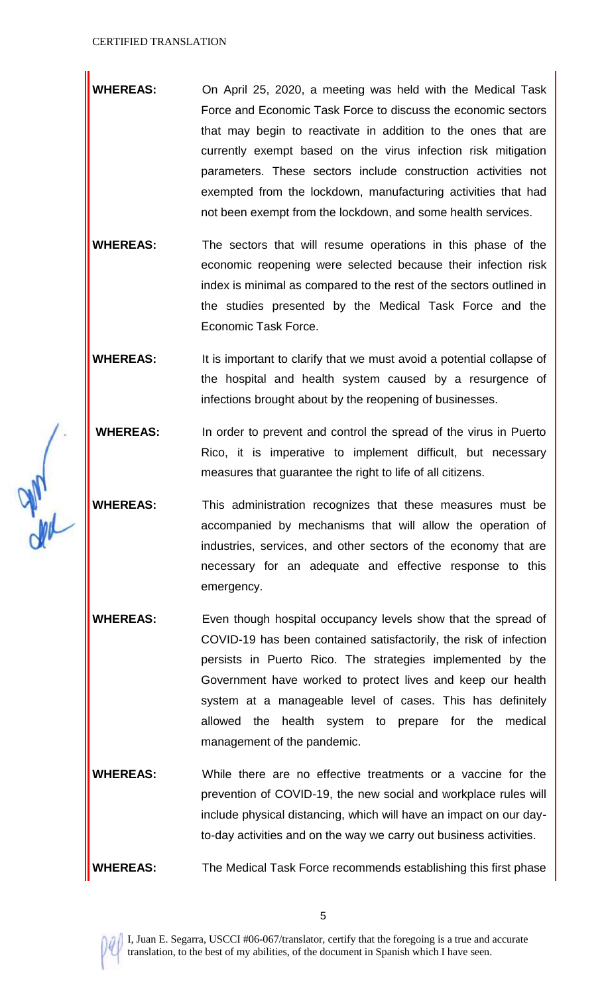**WHEREAS:** On April 25, 2020, a meeting was held with the Medical Task Force and Economic Task Force to discuss the economic sectors that may begin to reactivate in addition to the ones that are currently exempt based on the virus infection risk mitigation parameters. These sectors include construction activities not exempted from the lockdown, manufacturing activities that had not been exempt from the lockdown, and some health services.

**WHEREAS:** The sectors that will resume operations in this phase of the economic reopening were selected because their infection risk index is minimal as compared to the rest of the sectors outlined in the studies presented by the Medical Task Force and the Economic Task Force.

**WHEREAS:** It is important to clarify that we must avoid a potential collapse of the hospital and health system caused by a resurgence of infections brought about by the reopening of businesses.

**WHEREAS:** In order to prevent and control the spread of the virus in Puerto Rico, it is imperative to implement difficult, but necessary measures that guarantee the right to life of all citizens.

**WHEREAS:** This administration recognizes that these measures must be accompanied by mechanisms that will allow the operation of industries, services, and other sectors of the economy that are necessary for an adequate and effective response to this emergency.

**WHEREAS:** Even though hospital occupancy levels show that the spread of COVID-19 has been contained satisfactorily, the risk of infection persists in Puerto Rico. The strategies implemented by the Government have worked to protect lives and keep our health system at a manageable level of cases. This has definitely allowed the health system to prepare for the medical management of the pandemic.

**WHEREAS:** While there are no effective treatments or a vaccine for the prevention of COVID-19, the new social and workplace rules will include physical distancing, which will have an impact on our dayto-day activities and on the way we carry out business activities.

**WHEREAS:** The Medical Task Force recommends establishing this first phase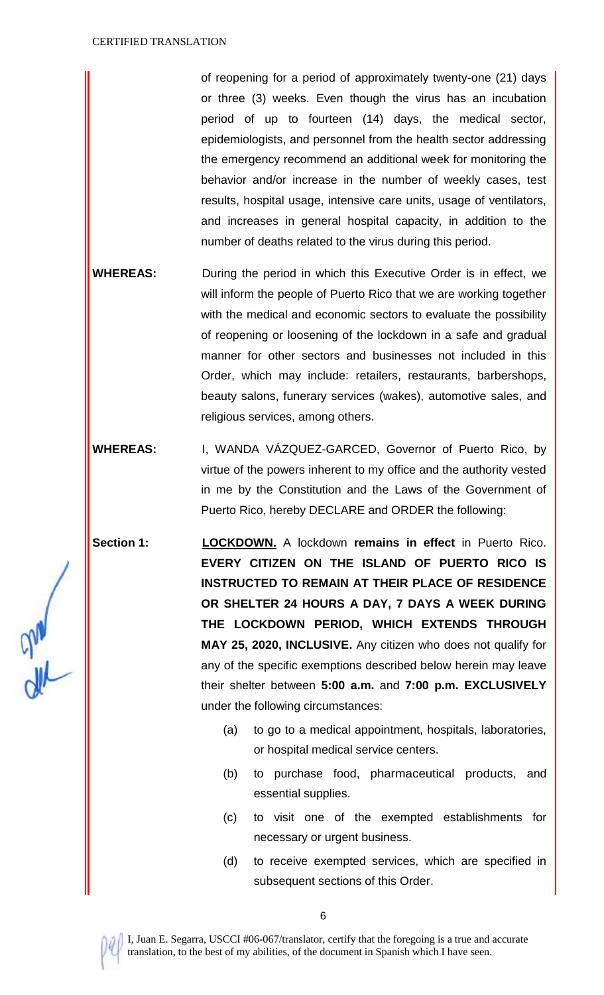of reopening for a period of approximately twenty-one (21) days or three (3) weeks. Even though the virus has an incubation period of up to fourteen (14) days, the medical sector, epidemiologists, and personnel from the health sector addressing the emergency recommend an additional week for monitoring the behavior and/or increase in the number of weekly cases, test results, hospital usage, intensive care units, usage of ventilators, and increases in general hospital capacity, in addition to the number of deaths related to the virus during this period.

- **WHEREAS:** During the period in which this Executive Order is in effect, we will inform the people of Puerto Rico that we are working together with the medical and economic sectors to evaluate the possibility of reopening or loosening of the lockdown in a safe and gradual manner for other sectors and businesses not included in this Order, which may include: retailers, restaurants, barbershops, beauty salons, funerary services (wakes), automotive sales, and religious services, among others.
- **WHEREAS:** I, WANDA VÁZQUEZ-GARCED, Governor of Puerto Rico, by virtue of the powers inherent to my office and the authority vested in me by the Constitution and the Laws of the Government of Puerto Rico, hereby DECLARE and ORDER the following:

**Section 1: LOCKDOWN.** A lockdown **remains in effect** in Puerto Rico. **EVERY CITIZEN ON THE ISLAND OF PUERTO RICO IS INSTRUCTED TO REMAIN AT THEIR PLACE OF RESIDENCE OR SHELTER 24 HOURS A DAY, 7 DAYS A WEEK DURING THE LOCKDOWN PERIOD, WHICH EXTENDS THROUGH MAY 25, 2020, INCLUSIVE.** Any citizen who does not qualify for any of the specific exemptions described below herein may leave their shelter between **5:00 a.m.** and **7:00 p.m. EXCLUSIVELY** under the following circumstances:

- (a) to go to a medical appointment, hospitals, laboratories, or hospital medical service centers.
- (b) to purchase food, pharmaceutical products, and essential supplies.
- (c) to visit one of the exempted establishments for necessary or urgent business.
- (d) to receive exempted services, which are specified in subsequent sections of this Order.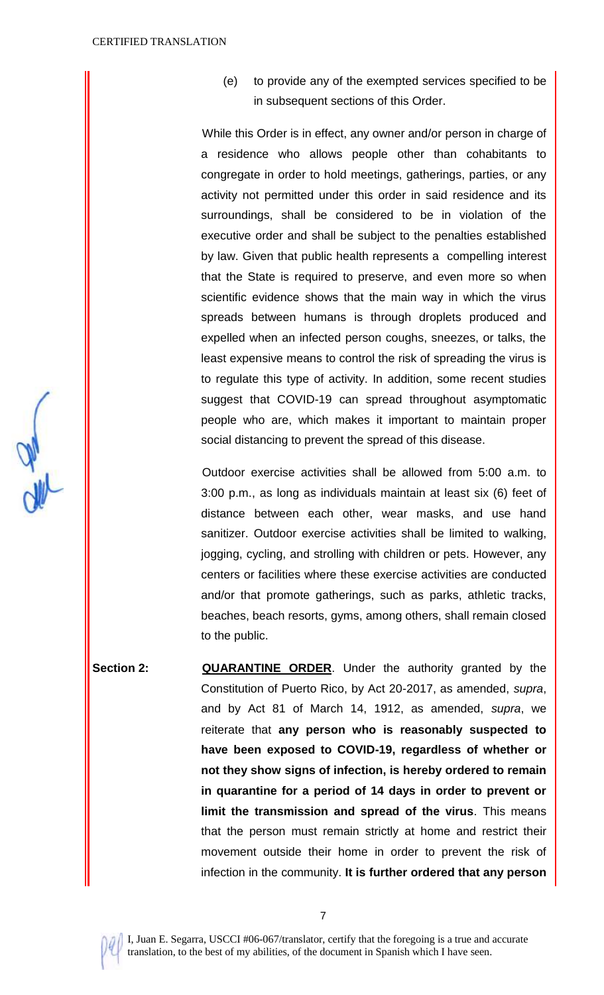(e) to provide any of the exempted services specified to be in subsequent sections of this Order.

While this Order is in effect, any owner and/or person in charge of a residence who allows people other than cohabitants to congregate in order to hold meetings, gatherings, parties, or any activity not permitted under this order in said residence and its surroundings, shall be considered to be in violation of the executive order and shall be subject to the penalties established by law. Given that public health represents a compelling interest that the State is required to preserve, and even more so when scientific evidence shows that the main way in which the virus spreads between humans is through droplets produced and expelled when an infected person coughs, sneezes, or talks, the least expensive means to control the risk of spreading the virus is to regulate this type of activity. In addition, some recent studies suggest that COVID-19 can spread throughout asymptomatic people who are, which makes it important to maintain proper social distancing to prevent the spread of this disease.

Outdoor exercise activities shall be allowed from 5:00 a.m. to 3:00 p.m., as long as individuals maintain at least six (6) feet of distance between each other, wear masks, and use hand sanitizer. Outdoor exercise activities shall be limited to walking, jogging, cycling, and strolling with children or pets. However, any centers or facilities where these exercise activities are conducted and/or that promote gatherings, such as parks, athletic tracks, beaches, beach resorts, gyms, among others, shall remain closed to the public.

**Section 2: <b>QUARANTINE** ORDER. Under the authority granted by the Constitution of Puerto Rico, by Act 20-2017, as amended, *supra*, and by Act 81 of March 14, 1912, as amended, *supra*, we reiterate that **any person who is reasonably suspected to have been exposed to COVID-19, regardless of whether or not they show signs of infection, is hereby ordered to remain in quarantine for a period of 14 days in order to prevent or limit the transmission and spread of the virus**. This means that the person must remain strictly at home and restrict their movement outside their home in order to prevent the risk of infection in the community. **It is further ordered that any person** 

7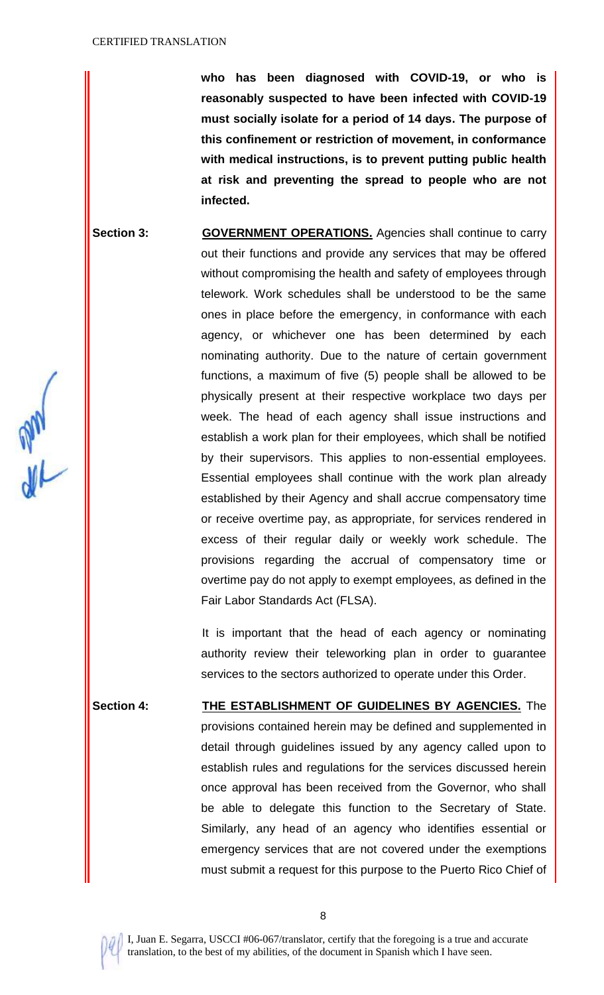**who has been diagnosed with COVID-19, or who is reasonably suspected to have been infected with COVID-19 must socially isolate for a period of 14 days. The purpose of this confinement or restriction of movement, in conformance with medical instructions, is to prevent putting public health at risk and preventing the spread to people who are not infected.**

**Section 3: <b>GOVERNMENT OPERATIONS.** Agencies shall continue to carry out their functions and provide any services that may be offered without compromising the health and safety of employees through telework. Work schedules shall be understood to be the same ones in place before the emergency, in conformance with each agency, or whichever one has been determined by each nominating authority. Due to the nature of certain government functions, a maximum of five (5) people shall be allowed to be physically present at their respective workplace two days per week. The head of each agency shall issue instructions and establish a work plan for their employees, which shall be notified by their supervisors. This applies to non-essential employees. Essential employees shall continue with the work plan already established by their Agency and shall accrue compensatory time or receive overtime pay, as appropriate, for services rendered in excess of their regular daily or weekly work schedule. The provisions regarding the accrual of compensatory time or overtime pay do not apply to exempt employees, as defined in the Fair Labor Standards Act (FLSA).

> It is important that the head of each agency or nominating authority review their teleworking plan in order to guarantee services to the sectors authorized to operate under this Order.

**Section 4: THE ESTABLISHMENT OF GUIDELINES BY AGENCIES.** The provisions contained herein may be defined and supplemented in detail through guidelines issued by any agency called upon to establish rules and regulations for the services discussed herein once approval has been received from the Governor, who shall be able to delegate this function to the Secretary of State. Similarly, any head of an agency who identifies essential or emergency services that are not covered under the exemptions must submit a request for this purpose to the Puerto Rico Chief of

**ML** 

8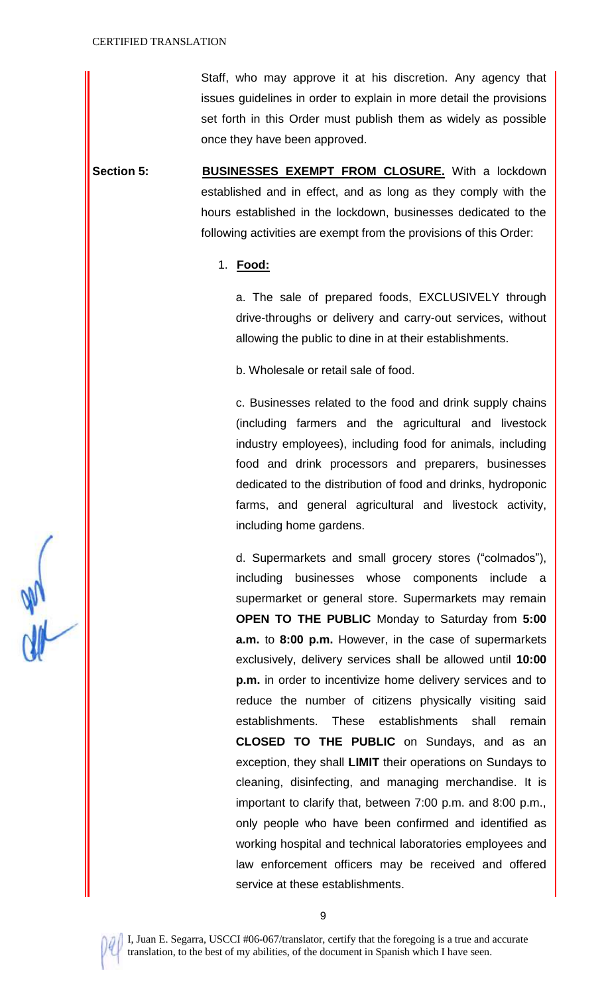Staff, who may approve it at his discretion. Any agency that issues guidelines in order to explain in more detail the provisions set forth in this Order must publish them as widely as possible once they have been approved.

**Section 5: BUSINESSES EXEMPT FROM CLOSURE.** With a lockdown established and in effect, and as long as they comply with the hours established in the lockdown, businesses dedicated to the following activities are exempt from the provisions of this Order:

#### 1. **Food:**

a. The sale of prepared foods, EXCLUSIVELY through drive-throughs or delivery and carry-out services, without allowing the public to dine in at their establishments.

b. Wholesale or retail sale of food.

c. Businesses related to the food and drink supply chains (including farmers and the agricultural and livestock industry employees), including food for animals, including food and drink processors and preparers, businesses dedicated to the distribution of food and drinks, hydroponic farms, and general agricultural and livestock activity, including home gardens.

d. Supermarkets and small grocery stores ("colmados"), including businesses whose components include a supermarket or general store. Supermarkets may remain **OPEN TO THE PUBLIC** Monday to Saturday from **5:00 a.m.** to **8:00 p.m.** However, in the case of supermarkets exclusively, delivery services shall be allowed until **10:00 p.m.** in order to incentivize home delivery services and to reduce the number of citizens physically visiting said establishments. These establishments shall remain **CLOSED TO THE PUBLIC** on Sundays, and as an exception, they shall **LIMIT** their operations on Sundays to cleaning, disinfecting, and managing merchandise. It is important to clarify that, between 7:00 p.m. and 8:00 p.m., only people who have been confirmed and identified as working hospital and technical laboratories employees and law enforcement officers may be received and offered service at these establishments.



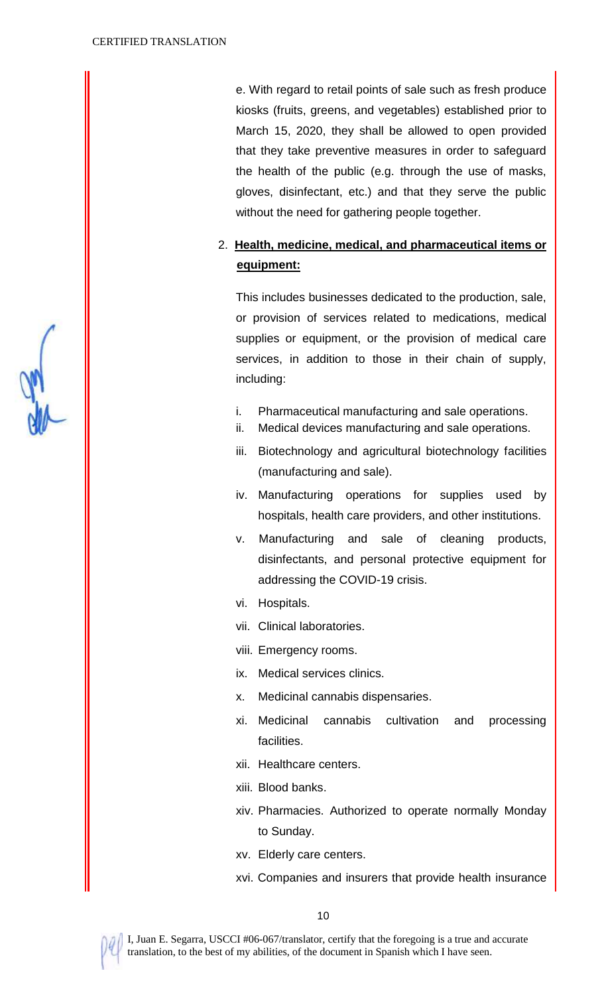e. With regard to retail points of sale such as fresh produce kiosks (fruits, greens, and vegetables) established prior to March 15, 2020, they shall be allowed to open provided that they take preventive measures in order to safeguard the health of the public (e.g. through the use of masks, gloves, disinfectant, etc.) and that they serve the public without the need for gathering people together.

# 2. **Health, medicine, medical, and pharmaceutical items or equipment:**

This includes businesses dedicated to the production, sale, or provision of services related to medications, medical supplies or equipment, or the provision of medical care services, in addition to those in their chain of supply, including:

- i. Pharmaceutical manufacturing and sale operations.
- ii. Medical devices manufacturing and sale operations.
- iii. Biotechnology and agricultural biotechnology facilities (manufacturing and sale).
- iv. Manufacturing operations for supplies used by hospitals, health care providers, and other institutions.
- v. Manufacturing and sale of cleaning products, disinfectants, and personal protective equipment for addressing the COVID-19 crisis.
- vi. Hospitals.
- vii. Clinical laboratories.
- viii. Emergency rooms.
- ix. Medical services clinics.
- x. Medicinal cannabis dispensaries.
- xi. Medicinal cannabis cultivation and processing facilities.
- xii. Healthcare centers.
- xiii. Blood banks.
- xiv. Pharmacies. Authorized to operate normally Monday to Sunday.
- xv. Elderly care centers.
- xvi. Companies and insurers that provide health insurance

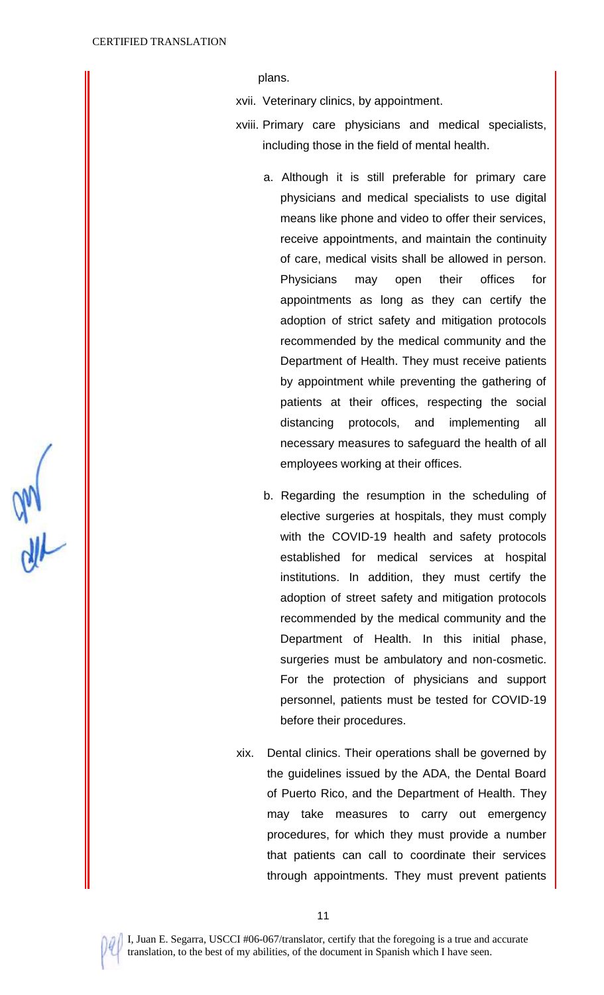plans.

- xvii. Veterinary clinics, by appointment.
- xviii. Primary care physicians and medical specialists, including those in the field of mental health.
	- a. Although it is still preferable for primary care physicians and medical specialists to use digital means like phone and video to offer their services, receive appointments, and maintain the continuity of care, medical visits shall be allowed in person. Physicians may open their offices for appointments as long as they can certify the adoption of strict safety and mitigation protocols recommended by the medical community and the Department of Health. They must receive patients by appointment while preventing the gathering of patients at their offices, respecting the social distancing protocols, and implementing all necessary measures to safeguard the health of all employees working at their offices.
	- b. Regarding the resumption in the scheduling of elective surgeries at hospitals, they must comply with the COVID-19 health and safety protocols established for medical services at hospital institutions. In addition, they must certify the adoption of street safety and mitigation protocols recommended by the medical community and the Department of Health. In this initial phase, surgeries must be ambulatory and non-cosmetic. For the protection of physicians and support personnel, patients must be tested for COVID-19 before their procedures.
- xix. Dental clinics. Their operations shall be governed by the guidelines issued by the ADA, the Dental Board of Puerto Rico, and the Department of Health. They may take measures to carry out emergency procedures, for which they must provide a number that patients can call to coordinate their services through appointments. They must prevent patients

 $\frac{dN}{dN}$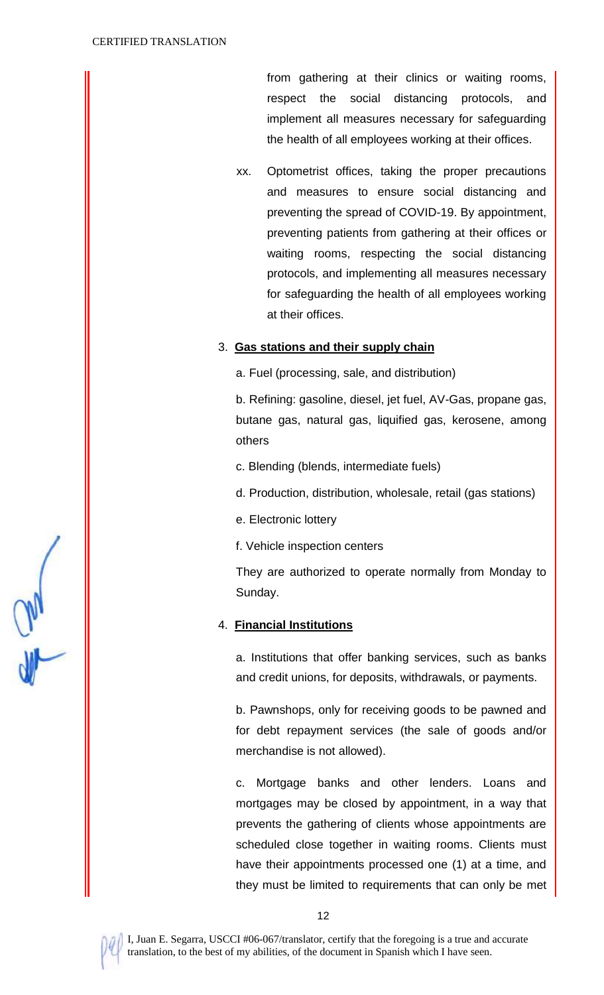from gathering at their clinics or waiting rooms, respect the social distancing protocols, and implement all measures necessary for safeguarding the health of all employees working at their offices.

xx. Optometrist offices, taking the proper precautions and measures to ensure social distancing and preventing the spread of COVID-19. By appointment, preventing patients from gathering at their offices or waiting rooms, respecting the social distancing protocols, and implementing all measures necessary for safeguarding the health of all employees working at their offices.

#### 3. **Gas stations and their supply chain**

a. Fuel (processing, sale, and distribution)

b. Refining: gasoline, diesel, jet fuel, AV-Gas, propane gas, butane gas, natural gas, liquified gas, kerosene, among others

- c. Blending (blends, intermediate fuels)
- d. Production, distribution, wholesale, retail (gas stations)
- e. Electronic lottery
- f. Vehicle inspection centers

They are authorized to operate normally from Monday to Sunday.

## 4. **Financial Institutions**

a. Institutions that offer banking services, such as banks and credit unions, for deposits, withdrawals, or payments.

b. Pawnshops, only for receiving goods to be pawned and for debt repayment services (the sale of goods and/or merchandise is not allowed).

c. Mortgage banks and other lenders. Loans and mortgages may be closed by appointment, in a way that prevents the gathering of clients whose appointments are scheduled close together in waiting rooms. Clients must have their appointments processed one (1) at a time, and they must be limited to requirements that can only be met

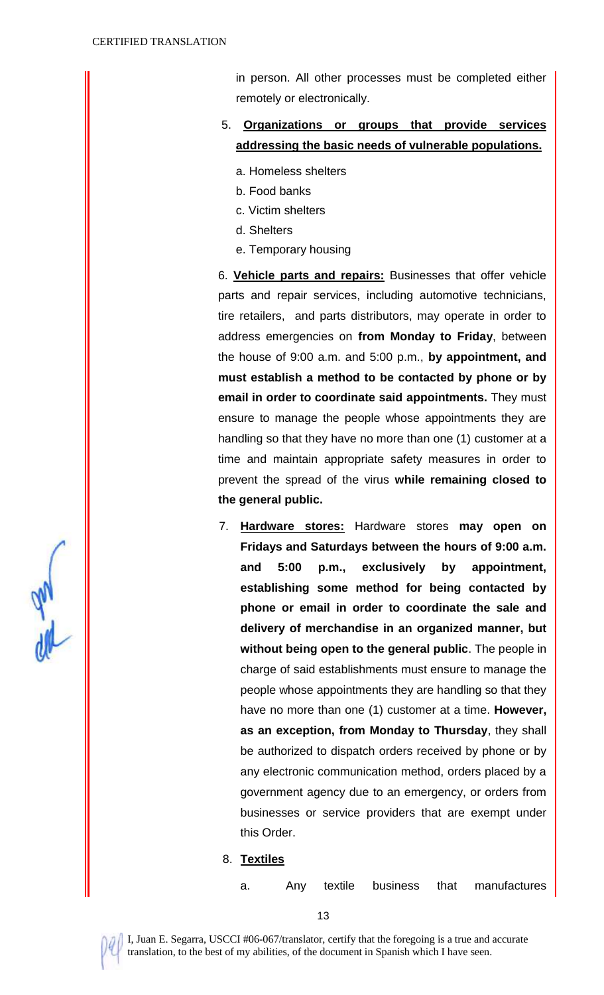and day

in person. All other processes must be completed either remotely or electronically.

- 5. **Organizations or groups that provide services addressing the basic needs of vulnerable populations.**
	- a. Homeless shelters
	- b. Food banks
	- c. Victim shelters
	- d. Shelters
	- e. Temporary housing

6. **Vehicle parts and repairs:** Businesses that offer vehicle parts and repair services, including automotive technicians, tire retailers, and parts distributors, may operate in order to address emergencies on **from Monday to Friday**, between the house of 9:00 a.m. and 5:00 p.m., **by appointment, and must establish a method to be contacted by phone or by email in order to coordinate said appointments.** They must ensure to manage the people whose appointments they are handling so that they have no more than one (1) customer at a time and maintain appropriate safety measures in order to prevent the spread of the virus **while remaining closed to the general public.**

- 7. **Hardware stores:** Hardware stores **may open on Fridays and Saturdays between the hours of 9:00 a.m. and 5:00 p.m., exclusively by appointment, establishing some method for being contacted by phone or email in order to coordinate the sale and delivery of merchandise in an organized manner, but without being open to the general public**. The people in charge of said establishments must ensure to manage the people whose appointments they are handling so that they have no more than one (1) customer at a time. **However, as an exception, from Monday to Thursday**, they shall be authorized to dispatch orders received by phone or by any electronic communication method, orders placed by a government agency due to an emergency, or orders from businesses or service providers that are exempt under this Order.
- 8. **Textiles**
	- a. Any textile business that manufactures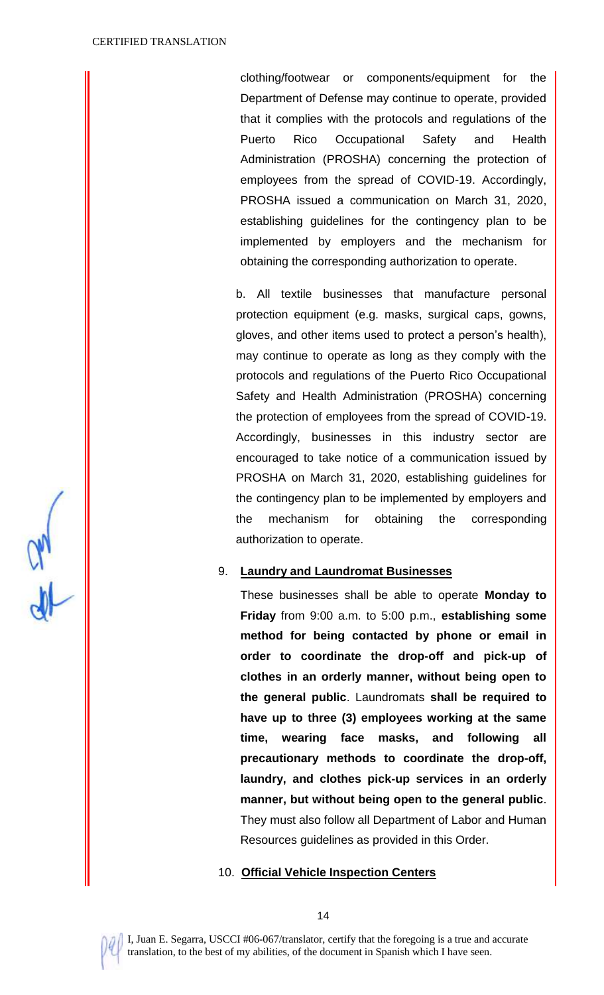clothing/footwear or components/equipment for the Department of Defense may continue to operate, provided that it complies with the protocols and regulations of the Puerto Rico Occupational Safety and Health Administration (PROSHA) concerning the protection of employees from the spread of COVID-19. Accordingly, PROSHA issued a communication on March 31, 2020, establishing guidelines for the contingency plan to be implemented by employers and the mechanism for obtaining the corresponding authorization to operate.

b. All textile businesses that manufacture personal protection equipment (e.g. masks, surgical caps, gowns, gloves, and other items used to protect a person's health), may continue to operate as long as they comply with the protocols and regulations of the Puerto Rico Occupational Safety and Health Administration (PROSHA) concerning the protection of employees from the spread of COVID-19. Accordingly, businesses in this industry sector are encouraged to take notice of a communication issued by PROSHA on March 31, 2020, establishing guidelines for the contingency plan to be implemented by employers and the mechanism for obtaining the corresponding authorization to operate.

#### 9. **Laundry and Laundromat Businesses**

These businesses shall be able to operate **Monday to Friday** from 9:00 a.m. to 5:00 p.m., **establishing some method for being contacted by phone or email in order to coordinate the drop-off and pick-up of clothes in an orderly manner, without being open to the general public**. Laundromats **shall be required to have up to three (3) employees working at the same time, wearing face masks, and following all precautionary methods to coordinate the drop-off, laundry, and clothes pick-up services in an orderly manner, but without being open to the general public**. They must also follow all Department of Labor and Human Resources guidelines as provided in this Order.

#### 10. **Official Vehicle Inspection Centers**

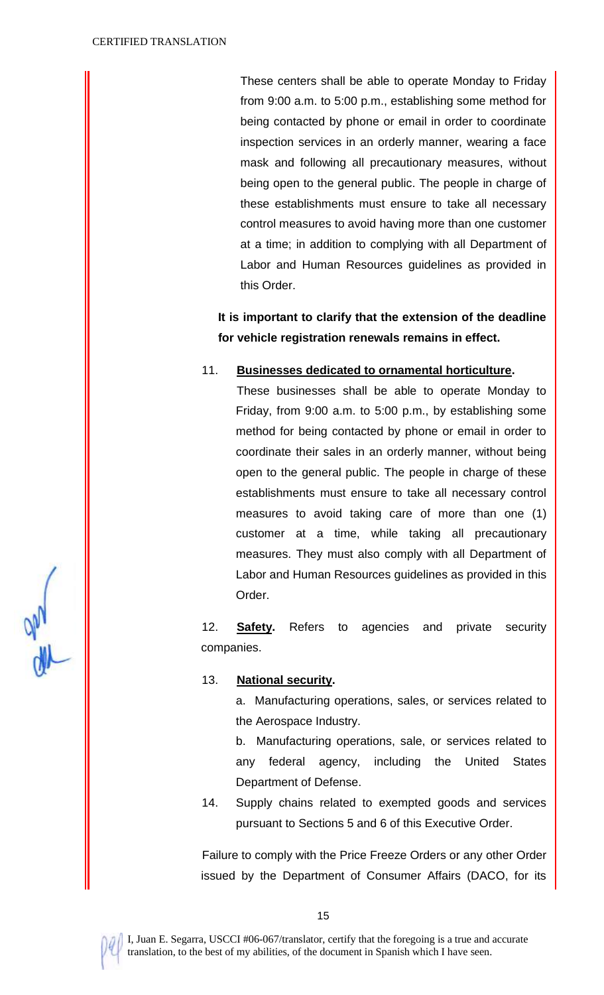These centers shall be able to operate Monday to Friday from 9:00 a.m. to 5:00 p.m., establishing some method for being contacted by phone or email in order to coordinate inspection services in an orderly manner, wearing a face mask and following all precautionary measures, without being open to the general public. The people in charge of these establishments must ensure to take all necessary control measures to avoid having more than one customer at a time; in addition to complying with all Department of Labor and Human Resources guidelines as provided in this Order.

**It is important to clarify that the extension of the deadline for vehicle registration renewals remains in effect.** 

## 11. **Businesses dedicated to ornamental horticulture.**

These businesses shall be able to operate Monday to Friday, from 9:00 a.m. to 5:00 p.m., by establishing some method for being contacted by phone or email in order to coordinate their sales in an orderly manner, without being open to the general public. The people in charge of these establishments must ensure to take all necessary control measures to avoid taking care of more than one (1) customer at a time, while taking all precautionary measures. They must also comply with all Department of Labor and Human Resources guidelines as provided in this Order.

12. **Safety.** Refers to agencies and private security companies.

#### 13. **National security.**

a. Manufacturing operations, sales, or services related to the Aerospace Industry.

b. Manufacturing operations, sale, or services related to any federal agency, including the United States Department of Defense.

14. Supply chains related to exempted goods and services pursuant to Sections 5 and 6 of this Executive Order.

Failure to comply with the Price Freeze Orders or any other Order issued by the Department of Consumer Affairs (DACO, for its



15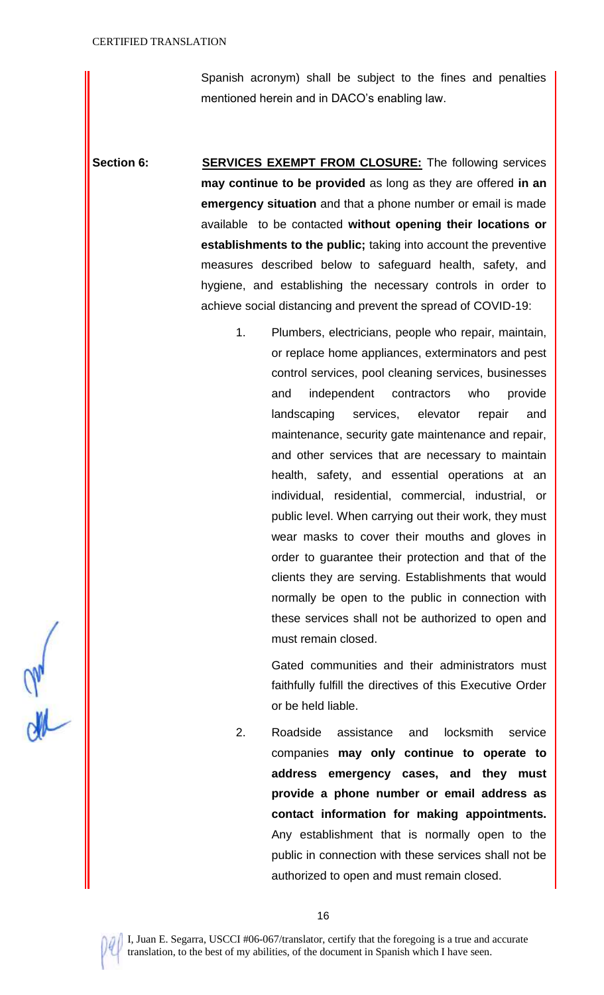Spanish acronym) shall be subject to the fines and penalties mentioned herein and in DACO's enabling law.

**Section 6: SERVICES EXEMPT FROM CLOSURE:** The following services **may continue to be provided** as long as they are offered **in an emergency situation** and that a phone number or email is made available to be contacted **without opening their locations or establishments to the public;** taking into account the preventive measures described below to safeguard health, safety, and hygiene, and establishing the necessary controls in order to achieve social distancing and prevent the spread of COVID-19:

> 1. Plumbers, electricians, people who repair, maintain, or replace home appliances, exterminators and pest control services, pool cleaning services, businesses and independent contractors who provide landscaping services, elevator repair and maintenance, security gate maintenance and repair, and other services that are necessary to maintain health, safety, and essential operations at an individual, residential, commercial, industrial, or public level. When carrying out their work, they must wear masks to cover their mouths and gloves in order to guarantee their protection and that of the clients they are serving. Establishments that would normally be open to the public in connection with these services shall not be authorized to open and must remain closed.

> > Gated communities and their administrators must faithfully fulfill the directives of this Executive Order or be held liable.

2. Roadside assistance and locksmith service companies **may only continue to operate to address emergency cases, and they must provide a phone number or email address as contact information for making appointments.** Any establishment that is normally open to the public in connection with these services shall not be authorized to open and must remain closed.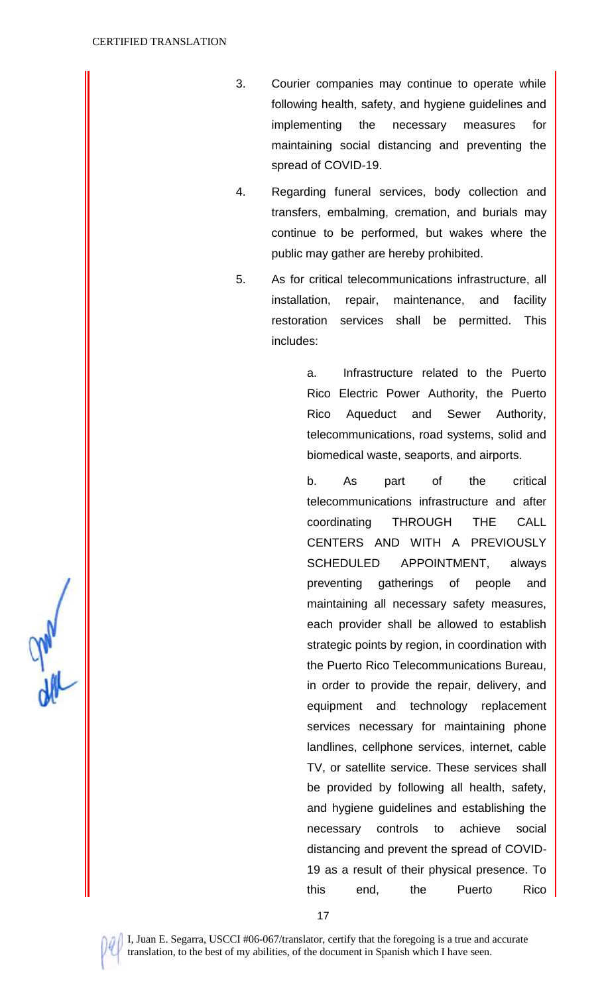- 3. Courier companies may continue to operate while following health, safety, and hygiene guidelines and implementing the necessary measures for maintaining social distancing and preventing the spread of COVID-19.
- 4. Regarding funeral services, body collection and transfers, embalming, cremation, and burials may continue to be performed, but wakes where the public may gather are hereby prohibited.
- 5. As for critical telecommunications infrastructure, all installation, repair, maintenance, and facility restoration services shall be permitted. This includes:

a. Infrastructure related to the Puerto Rico Electric Power Authority, the Puerto Rico Aqueduct and Sewer Authority, telecommunications, road systems, solid and biomedical waste, seaports, and airports.

b. As part of the critical telecommunications infrastructure and after coordinating THROUGH THE CALL CENTERS AND WITH A PREVIOUSLY SCHEDULED APPOINTMENT, always preventing gatherings of people and maintaining all necessary safety measures, each provider shall be allowed to establish strategic points by region, in coordination with the Puerto Rico Telecommunications Bureau, in order to provide the repair, delivery, and equipment and technology replacement services necessary for maintaining phone landlines, cellphone services, internet, cable TV, or satellite service. These services shall be provided by following all health, safety, and hygiene guidelines and establishing the necessary controls to achieve social distancing and prevent the spread of COVID-19 as a result of their physical presence. To this end, the Puerto Rico

**UM**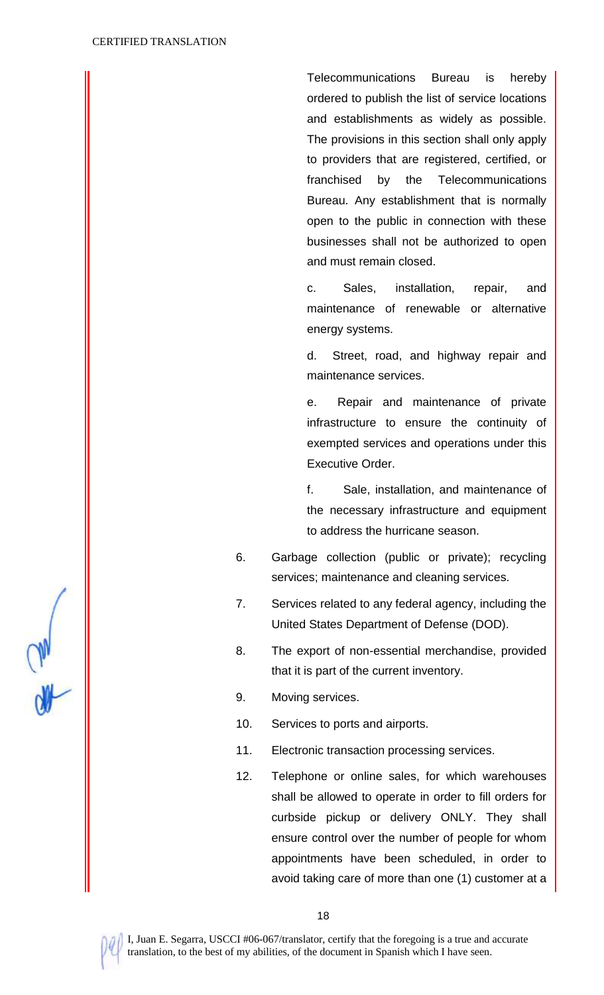Telecommunications Bureau is hereby ordered to publish the list of service locations and establishments as widely as possible. The provisions in this section shall only apply to providers that are registered, certified, or franchised by the Telecommunications Bureau. Any establishment that is normally open to the public in connection with these businesses shall not be authorized to open and must remain closed.

c. Sales, installation, repair, and maintenance of renewable or alternative energy systems.

d. Street, road, and highway repair and maintenance services.

e. Repair and maintenance of private infrastructure to ensure the continuity of exempted services and operations under this Executive Order.

f. Sale, installation, and maintenance of the necessary infrastructure and equipment to address the hurricane season.

- 6. Garbage collection (public or private); recycling services; maintenance and cleaning services.
- 7. Services related to any federal agency, including the United States Department of Defense (DOD).
- 8. The export of non-essential merchandise, provided that it is part of the current inventory.
- 9. Moving services.
- 10. Services to ports and airports.
- 11. Electronic transaction processing services.
- 12. Telephone or online sales, for which warehouses shall be allowed to operate in order to fill orders for curbside pickup or delivery ONLY. They shall ensure control over the number of people for whom appointments have been scheduled, in order to avoid taking care of more than one (1) customer at a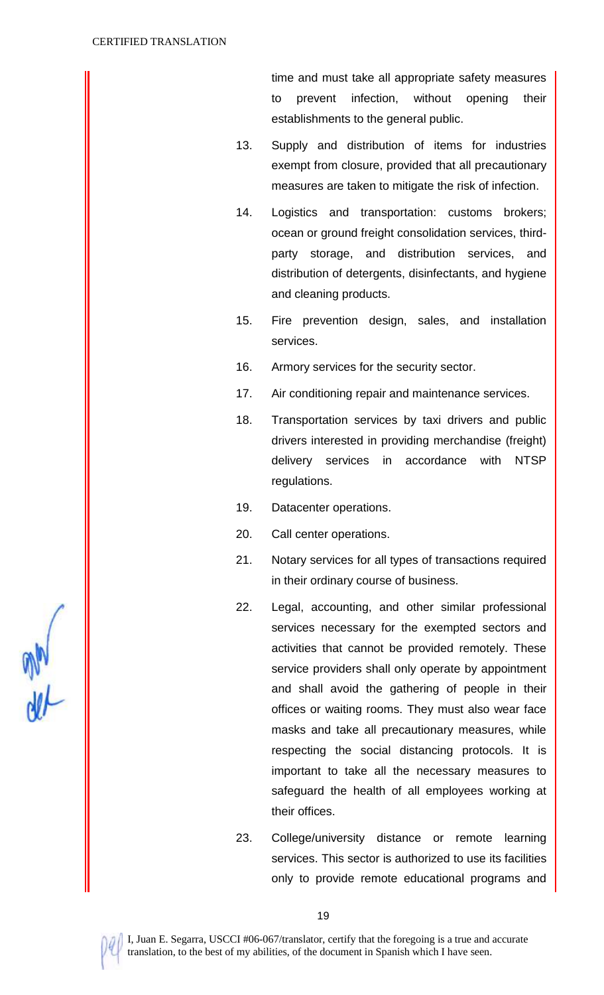time and must take all appropriate safety measures to prevent infection, without opening their establishments to the general public.

- 13. Supply and distribution of items for industries exempt from closure, provided that all precautionary measures are taken to mitigate the risk of infection.
- 14. Logistics and transportation: customs brokers; ocean or ground freight consolidation services, thirdparty storage, and distribution services, and distribution of detergents, disinfectants, and hygiene and cleaning products.
- 15. Fire prevention design, sales, and installation services.
- 16. Armory services for the security sector.
- 17. Air conditioning repair and maintenance services.
- 18. Transportation services by taxi drivers and public drivers interested in providing merchandise (freight) delivery services in accordance with NTSP regulations.
- 19. Datacenter operations.
- 20. Call center operations.
- 21. Notary services for all types of transactions required in their ordinary course of business.
- 22. Legal, accounting, and other similar professional services necessary for the exempted sectors and activities that cannot be provided remotely. These service providers shall only operate by appointment and shall avoid the gathering of people in their offices or waiting rooms. They must also wear face masks and take all precautionary measures, while respecting the social distancing protocols. It is important to take all the necessary measures to safeguard the health of all employees working at their offices.
- 23. College/university distance or remote learning services. This sector is authorized to use its facilities only to provide remote educational programs and

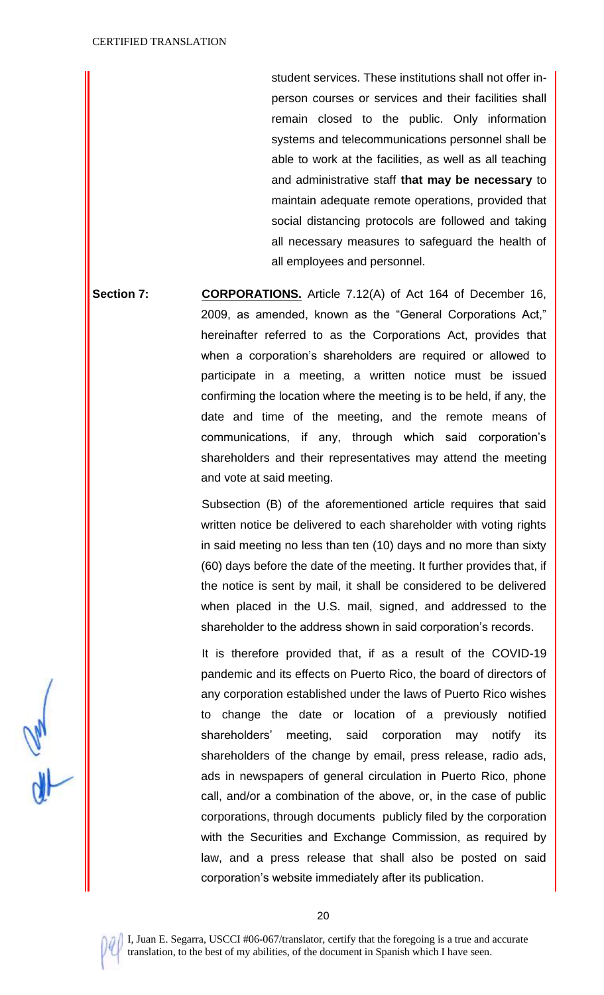student services. These institutions shall not offer inperson courses or services and their facilities shall remain closed to the public. Only information systems and telecommunications personnel shall be able to work at the facilities, as well as all teaching and administrative staff **that may be necessary** to maintain adequate remote operations, provided that social distancing protocols are followed and taking all necessary measures to safeguard the health of all employees and personnel.

**Section 7: CORPORATIONS.** Article 7.12(A) of Act 164 of December 16, 2009, as amended, known as the "General Corporations Act," hereinafter referred to as the Corporations Act, provides that when a corporation's shareholders are required or allowed to participate in a meeting, a written notice must be issued confirming the location where the meeting is to be held, if any, the date and time of the meeting, and the remote means of communications, if any, through which said corporation's shareholders and their representatives may attend the meeting and vote at said meeting.

> Subsection (B) of the aforementioned article requires that said written notice be delivered to each shareholder with voting rights in said meeting no less than ten (10) days and no more than sixty (60) days before the date of the meeting. It further provides that, if the notice is sent by mail, it shall be considered to be delivered when placed in the U.S. mail, signed, and addressed to the shareholder to the address shown in said corporation's records.

> It is therefore provided that, if as a result of the COVID-19 pandemic and its effects on Puerto Rico, the board of directors of any corporation established under the laws of Puerto Rico wishes to change the date or location of a previously notified shareholders' meeting, said corporation may notify its shareholders of the change by email, press release, radio ads, ads in newspapers of general circulation in Puerto Rico, phone call, and/or a combination of the above, or, in the case of public corporations, through documents publicly filed by the corporation with the Securities and Exchange Commission, as required by law, and a press release that shall also be posted on said corporation's website immediately after its publication.

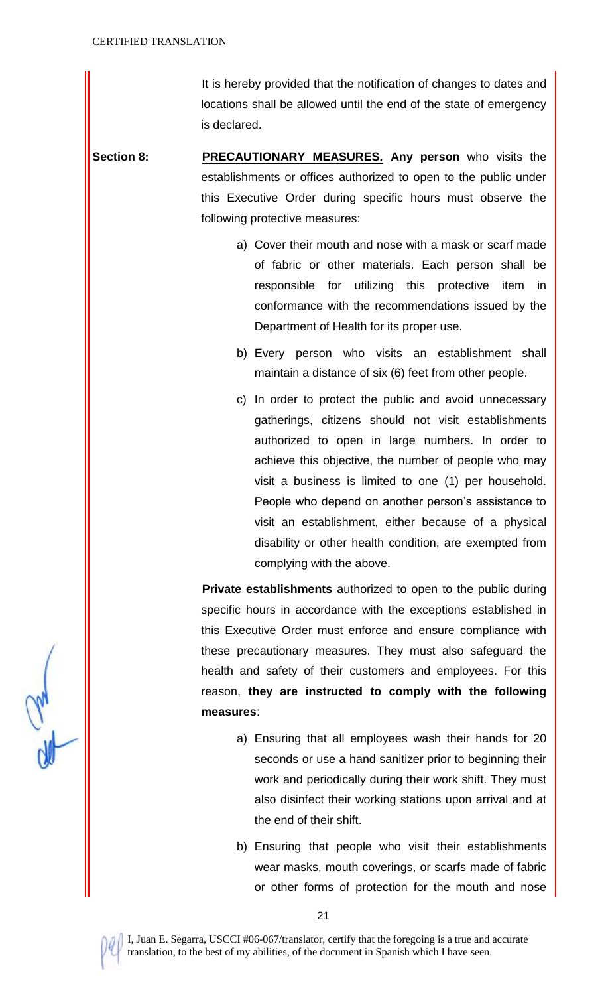It is hereby provided that the notification of changes to dates and locations shall be allowed until the end of the state of emergency is declared.

- **Section 8: PRECAUTIONARY MEASURES. Any person** who visits the establishments or offices authorized to open to the public under this Executive Order during specific hours must observe the following protective measures:
	- a) Cover their mouth and nose with a mask or scarf made of fabric or other materials. Each person shall be responsible for utilizing this protective item in conformance with the recommendations issued by the Department of Health for its proper use.
	- b) Every person who visits an establishment shall maintain a distance of six (6) feet from other people.
	- c) In order to protect the public and avoid unnecessary gatherings, citizens should not visit establishments authorized to open in large numbers. In order to achieve this objective, the number of people who may visit a business is limited to one (1) per household. People who depend on another person's assistance to visit an establishment, either because of a physical disability or other health condition, are exempted from complying with the above.

**Private establishments** authorized to open to the public during specific hours in accordance with the exceptions established in this Executive Order must enforce and ensure compliance with these precautionary measures. They must also safeguard the health and safety of their customers and employees. For this reason, **they are instructed to comply with the following measures**:

- a) Ensuring that all employees wash their hands for 20 seconds or use a hand sanitizer prior to beginning their work and periodically during their work shift. They must also disinfect their working stations upon arrival and at the end of their shift.
- b) Ensuring that people who visit their establishments wear masks, mouth coverings, or scarfs made of fabric or other forms of protection for the mouth and nose

21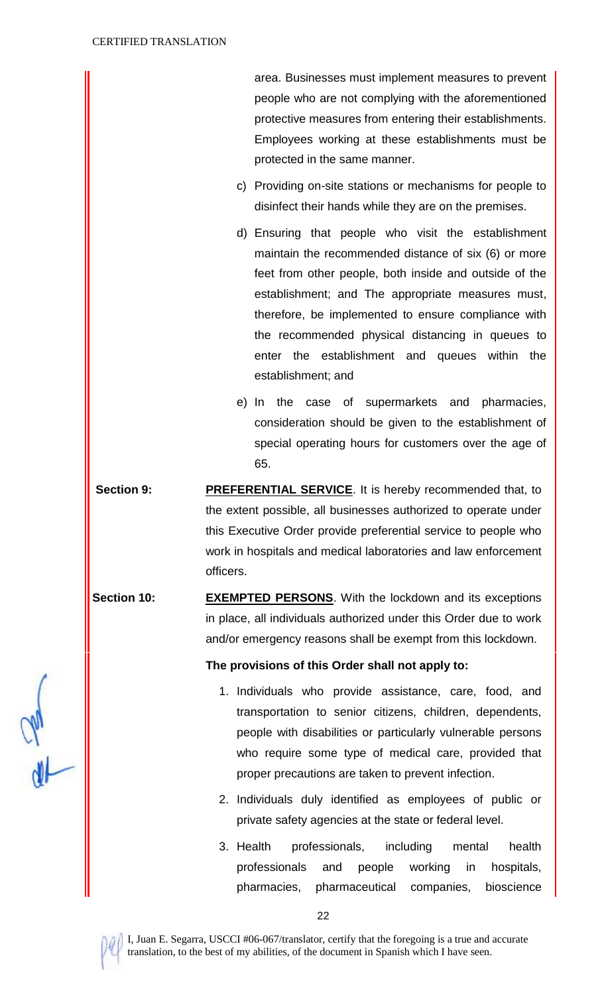area. Businesses must implement measures to prevent people who are not complying with the aforementioned protective measures from entering their establishments. Employees working at these establishments must be protected in the same manner.

- c) Providing on-site stations or mechanisms for people to disinfect their hands while they are on the premises.
- d) Ensuring that people who visit the establishment maintain the recommended distance of six (6) or more feet from other people, both inside and outside of the establishment; and The appropriate measures must, therefore, be implemented to ensure compliance with the recommended physical distancing in queues to enter the establishment and queues within the establishment; and
- e) In the case of supermarkets and pharmacies, consideration should be given to the establishment of special operating hours for customers over the age of 65.
- **Section 9: PREFERENTIAL SERVICE.** It is hereby recommended that, to the extent possible, all businesses authorized to operate under this Executive Order provide preferential service to people who work in hospitals and medical laboratories and law enforcement officers.
- **Section 10: EXEMPTED PERSONS**. With the lockdown and its exceptions in place, all individuals authorized under this Order due to work and/or emergency reasons shall be exempt from this lockdown.

## **The provisions of this Order shall not apply to:**

- 1. Individuals who provide assistance, care, food, and transportation to senior citizens, children, dependents, people with disabilities or particularly vulnerable persons who require some type of medical care, provided that proper precautions are taken to prevent infection.
- 2. Individuals duly identified as employees of public or private safety agencies at the state or federal level.
- 3. Health professionals, including mental health professionals and people working in hospitals, pharmacies, pharmaceutical companies, bioscience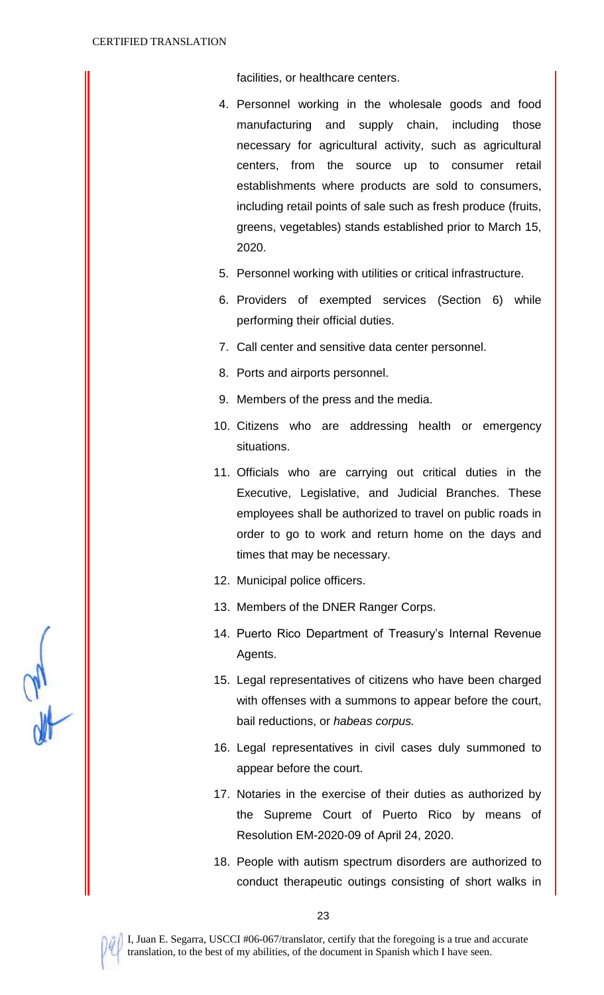facilities, or healthcare centers.

- 4. Personnel working in the wholesale goods and food manufacturing and supply chain, including those necessary for agricultural activity, such as agricultural centers, from the source up to consumer retail establishments where products are sold to consumers, including retail points of sale such as fresh produce (fruits, greens, vegetables) stands established prior to March 15, 2020.
- 5. Personnel working with utilities or critical infrastructure.
- 6. Providers of exempted services (Section 6) while performing their official duties.
- 7. Call center and sensitive data center personnel.
- 8. Ports and airports personnel.
- 9. Members of the press and the media.
- 10. Citizens who are addressing health or emergency situations.
- 11. Officials who are carrying out critical duties in the Executive, Legislative, and Judicial Branches. These employees shall be authorized to travel on public roads in order to go to work and return home on the days and times that may be necessary.
- 12. Municipal police officers.
- 13. Members of the DNER Ranger Corps.
- 14. Puerto Rico Department of Treasury's Internal Revenue Agents.
- 15. Legal representatives of citizens who have been charged with offenses with a summons to appear before the court, bail reductions, or *habeas corpus.*
- 16. Legal representatives in civil cases duly summoned to appear before the court.
- 17. Notaries in the exercise of their duties as authorized by the Supreme Court of Puerto Rico by means of Resolution EM-2020-09 of April 24, 2020.
- 18. People with autism spectrum disorders are authorized to conduct therapeutic outings consisting of short walks in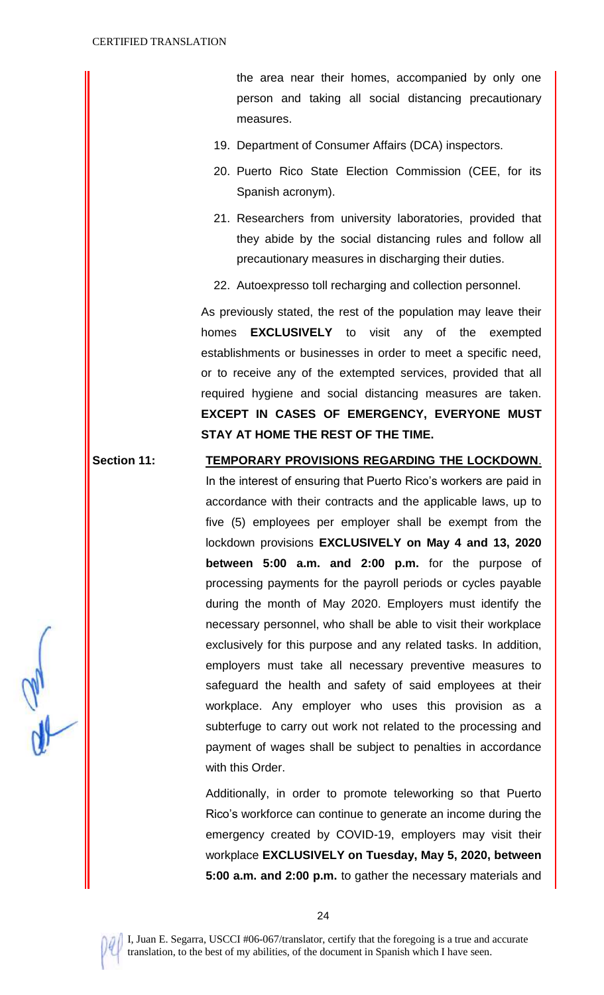the area near their homes, accompanied by only one person and taking all social distancing precautionary measures.

- 19. Department of Consumer Affairs (DCA) inspectors.
- 20. Puerto Rico State Election Commission (CEE, for its Spanish acronym).
- 21. Researchers from university laboratories, provided that they abide by the social distancing rules and follow all precautionary measures in discharging their duties.
- 22. Autoexpresso toll recharging and collection personnel.

As previously stated, the rest of the population may leave their homes **EXCLUSIVELY** to visit any of the exempted establishments or businesses in order to meet a specific need, or to receive any of the extempted services, provided that all required hygiene and social distancing measures are taken. **EXCEPT IN CASES OF EMERGENCY, EVERYONE MUST STAY AT HOME THE REST OF THE TIME.** 

# **Section 11: TEMPORARY PROVISIONS REGARDING THE LOCKDOWN**.

In the interest of ensuring that Puerto Rico's workers are paid in accordance with their contracts and the applicable laws, up to five (5) employees per employer shall be exempt from the lockdown provisions **EXCLUSIVELY on May 4 and 13, 2020 between 5:00 a.m. and 2:00 p.m.** for the purpose of processing payments for the payroll periods or cycles payable during the month of May 2020. Employers must identify the necessary personnel, who shall be able to visit their workplace exclusively for this purpose and any related tasks. In addition, employers must take all necessary preventive measures to safeguard the health and safety of said employees at their workplace. Any employer who uses this provision as a subterfuge to carry out work not related to the processing and payment of wages shall be subject to penalties in accordance with this Order.

Additionally, in order to promote teleworking so that Puerto Rico's workforce can continue to generate an income during the emergency created by COVID-19, employers may visit their workplace **EXCLUSIVELY on Tuesday, May 5, 2020, between 5:00 a.m. and 2:00 p.m.** to gather the necessary materials and

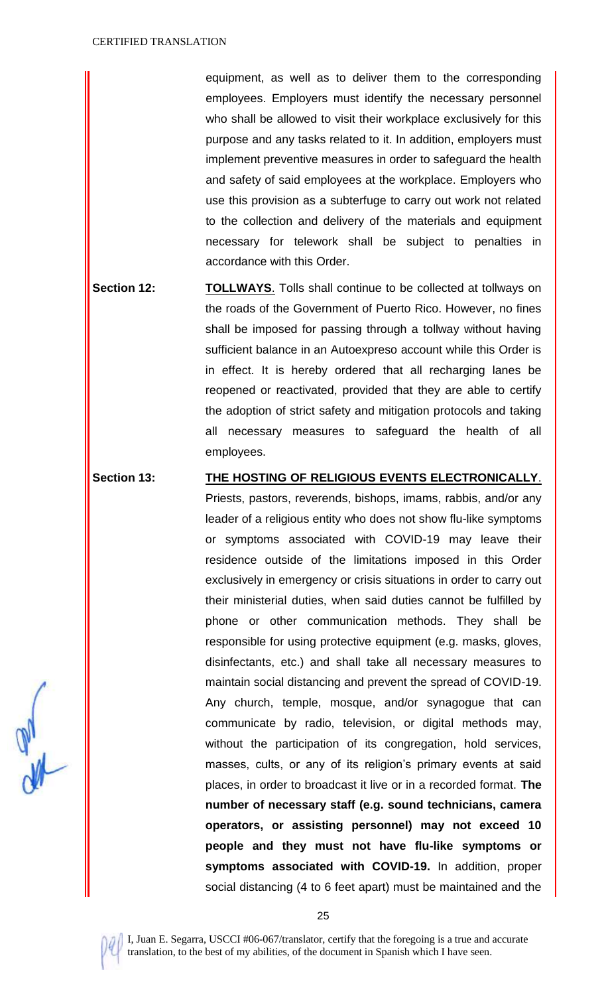equipment, as well as to deliver them to the corresponding employees. Employers must identify the necessary personnel who shall be allowed to visit their workplace exclusively for this purpose and any tasks related to it. In addition, employers must implement preventive measures in order to safeguard the health and safety of said employees at the workplace. Employers who use this provision as a subterfuge to carry out work not related to the collection and delivery of the materials and equipment necessary for telework shall be subject to penalties in accordance with this Order.

**Section 12: TOLLWAYS.** Tolls shall continue to be collected at tollways on the roads of the Government of Puerto Rico. However, no fines shall be imposed for passing through a tollway without having sufficient balance in an Autoexpreso account while this Order is in effect. It is hereby ordered that all recharging lanes be reopened or reactivated, provided that they are able to certify the adoption of strict safety and mitigation protocols and taking all necessary measures to safeguard the health of all employees.

**Section 13: THE HOSTING OF RELIGIOUS EVENTS ELECTRONICALLY**.

Priests, pastors, reverends, bishops, imams, rabbis, and/or any leader of a religious entity who does not show flu-like symptoms or symptoms associated with COVID-19 may leave their residence outside of the limitations imposed in this Order exclusively in emergency or crisis situations in order to carry out their ministerial duties, when said duties cannot be fulfilled by phone or other communication methods. They shall be responsible for using protective equipment (e.g. masks, gloves, disinfectants, etc.) and shall take all necessary measures to maintain social distancing and prevent the spread of COVID-19. Any church, temple, mosque, and/or synagogue that can communicate by radio, television, or digital methods may, without the participation of its congregation, hold services, masses, cults, or any of its religion's primary events at said places, in order to broadcast it live or in a recorded format. **The number of necessary staff (e.g. sound technicians, camera operators, or assisting personnel) may not exceed 10 people and they must not have flu-like symptoms or symptoms associated with COVID-19.** In addition, proper social distancing (4 to 6 feet apart) must be maintained and the

I, Juan E. Segarra, USCCI #06-067/translator, certify that the foregoing is a true and accurate translation, to the best of my abilities, of the document in Spanish which I have seen.

25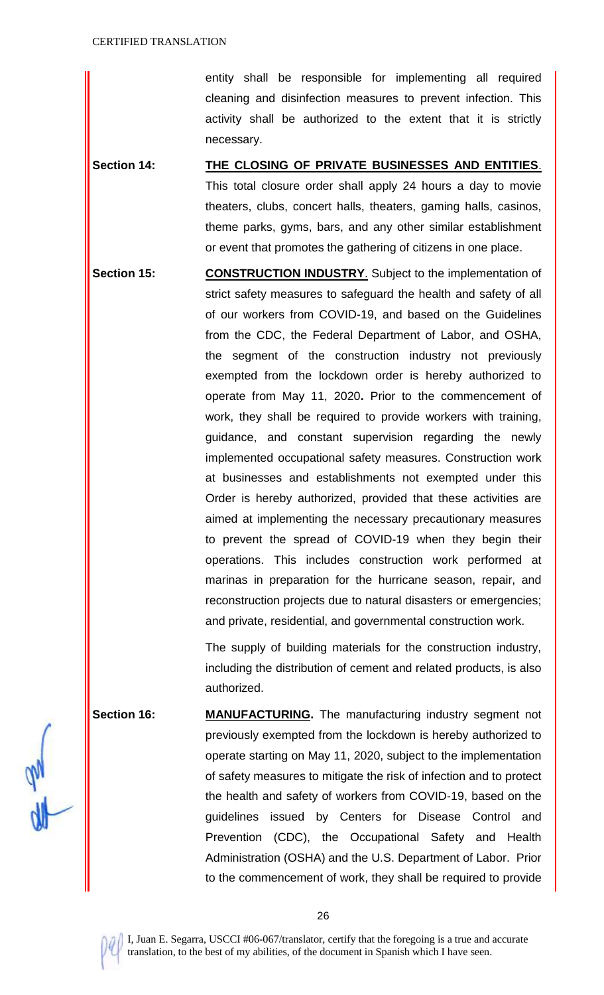entity shall be responsible for implementing all required cleaning and disinfection measures to prevent infection. This activity shall be authorized to the extent that it is strictly necessary.

- **Section 14: THE CLOSING OF PRIVATE BUSINESSES AND ENTITIES**. This total closure order shall apply 24 hours a day to movie theaters, clubs, concert halls, theaters, gaming halls, casinos, theme parks, gyms, bars, and any other similar establishment or event that promotes the gathering of citizens in one place.
- **Section 15: CONSTRUCTION INDUSTRY**. Subject to the implementation of strict safety measures to safeguard the health and safety of all of our workers from COVID-19, and based on the Guidelines from the CDC, the Federal Department of Labor, and OSHA, the segment of the construction industry not previously exempted from the lockdown order is hereby authorized to operate from May 11, 2020**.** Prior to the commencement of work, they shall be required to provide workers with training, guidance, and constant supervision regarding the newly implemented occupational safety measures. Construction work at businesses and establishments not exempted under this Order is hereby authorized, provided that these activities are aimed at implementing the necessary precautionary measures to prevent the spread of COVID-19 when they begin their operations. This includes construction work performed at marinas in preparation for the hurricane season, repair, and reconstruction projects due to natural disasters or emergencies; and private, residential, and governmental construction work.

The supply of building materials for the construction industry, including the distribution of cement and related products, is also authorized.

Section 16: MANUFACTURING. The manufacturing industry segment not previously exempted from the lockdown is hereby authorized to operate starting on May 11, 2020, subject to the implementation of safety measures to mitigate the risk of infection and to protect the health and safety of workers from COVID-19, based on the guidelines issued by Centers for Disease Control and Prevention (CDC), the Occupational Safety and Health Administration (OSHA) and the U.S. Department of Labor. Prior to the commencement of work, they shall be required to provide

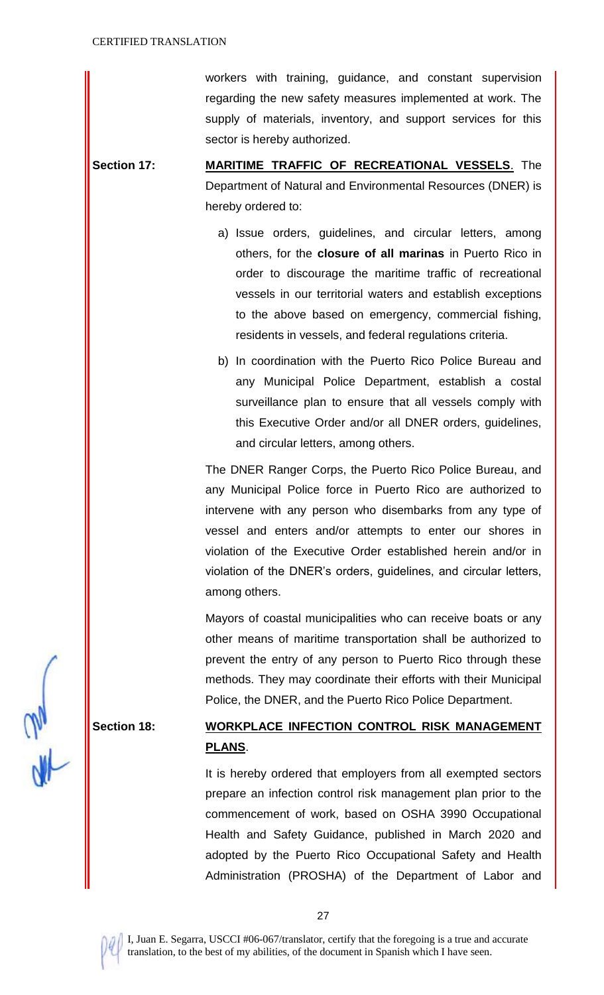workers with training, guidance, and constant supervision regarding the new safety measures implemented at work. The supply of materials, inventory, and support services for this sector is hereby authorized.

**Section 17: MARITIME TRAFFIC OF RECREATIONAL VESSELS**. The Department of Natural and Environmental Resources (DNER) is hereby ordered to:

- a) Issue orders, guidelines, and circular letters, among others, for the **closure of all marinas** in Puerto Rico in order to discourage the maritime traffic of recreational vessels in our territorial waters and establish exceptions to the above based on emergency, commercial fishing, residents in vessels, and federal regulations criteria.
- b) In coordination with the Puerto Rico Police Bureau and any Municipal Police Department, establish a costal surveillance plan to ensure that all vessels comply with this Executive Order and/or all DNER orders, guidelines, and circular letters, among others.

The DNER Ranger Corps, the Puerto Rico Police Bureau, and any Municipal Police force in Puerto Rico are authorized to intervene with any person who disembarks from any type of vessel and enters and/or attempts to enter our shores in violation of the Executive Order established herein and/or in violation of the DNER's orders, guidelines, and circular letters, among others.

Mayors of coastal municipalities who can receive boats or any other means of maritime transportation shall be authorized to prevent the entry of any person to Puerto Rico through these methods. They may coordinate their efforts with their Municipal Police, the DNER, and the Puerto Rico Police Department.

# **Section 18: WORKPLACE INFECTION CONTROL RISK MANAGEMENT PLANS**.

It is hereby ordered that employers from all exempted sectors prepare an infection control risk management plan prior to the commencement of work, based on OSHA 3990 Occupational Health and Safety Guidance, published in March 2020 and adopted by the Puerto Rico Occupational Safety and Health Administration (PROSHA) of the Department of Labor and

27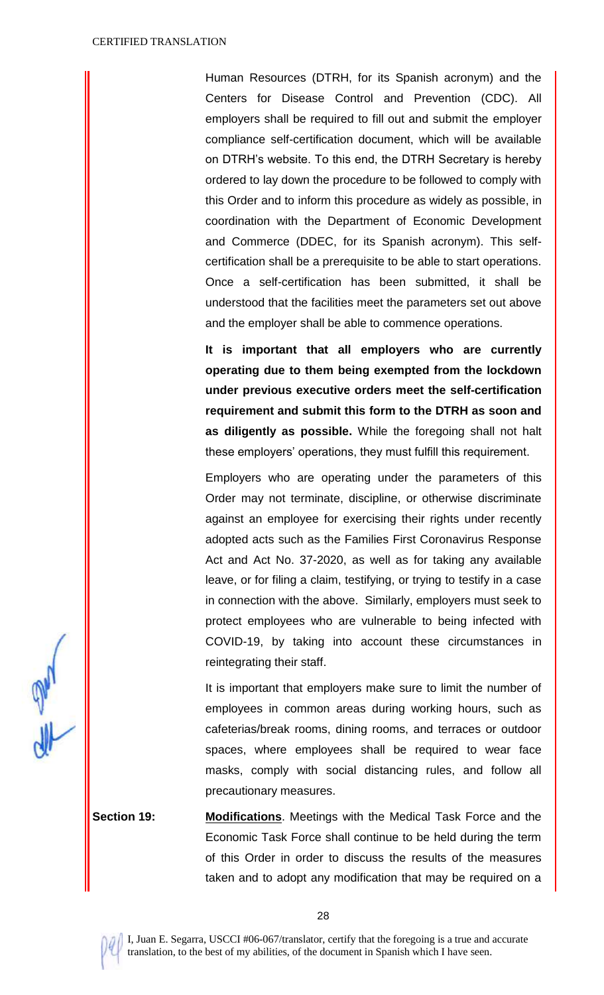Human Resources (DTRH, for its Spanish acronym) and the Centers for Disease Control and Prevention (CDC). All employers shall be required to fill out and submit the employer compliance self-certification document, which will be available on DTRH's website. To this end, the DTRH Secretary is hereby ordered to lay down the procedure to be followed to comply with this Order and to inform this procedure as widely as possible, in coordination with the Department of Economic Development and Commerce (DDEC, for its Spanish acronym). This selfcertification shall be a prerequisite to be able to start operations. Once a self-certification has been submitted, it shall be understood that the facilities meet the parameters set out above and the employer shall be able to commence operations.

**It is important that all employers who are currently operating due to them being exempted from the lockdown under previous executive orders meet the self-certification requirement and submit this form to the DTRH as soon and as diligently as possible.** While the foregoing shall not halt these employers' operations, they must fulfill this requirement.

Employers who are operating under the parameters of this Order may not terminate, discipline, or otherwise discriminate against an employee for exercising their rights under recently adopted acts such as the Families First Coronavirus Response Act and Act No. 37-2020, as well as for taking any available leave, or for filing a claim, testifying, or trying to testify in a case in connection with the above. Similarly, employers must seek to protect employees who are vulnerable to being infected with COVID-19, by taking into account these circumstances in reintegrating their staff.

It is important that employers make sure to limit the number of employees in common areas during working hours, such as cafeterias/break rooms, dining rooms, and terraces or outdoor spaces, where employees shall be required to wear face masks, comply with social distancing rules, and follow all precautionary measures.

**Section 19: Modifications**. Meetings with the Medical Task Force and the Economic Task Force shall continue to be held during the term of this Order in order to discuss the results of the measures taken and to adopt any modification that may be required on a

all a

28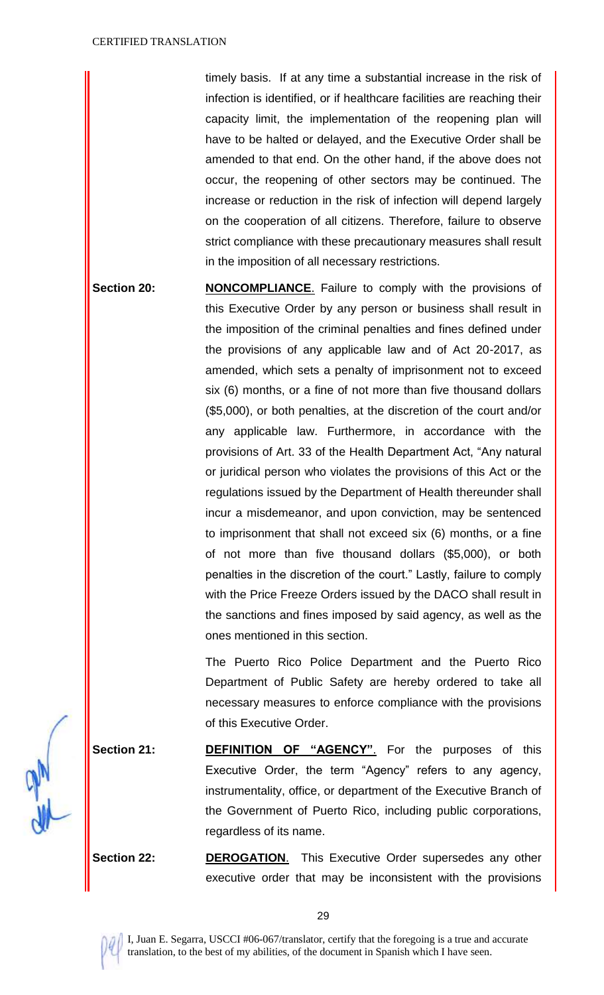timely basis. If at any time a substantial increase in the risk of infection is identified, or if healthcare facilities are reaching their capacity limit, the implementation of the reopening plan will have to be halted or delayed, and the Executive Order shall be amended to that end. On the other hand, if the above does not occur, the reopening of other sectors may be continued. The increase or reduction in the risk of infection will depend largely on the cooperation of all citizens. Therefore, failure to observe strict compliance with these precautionary measures shall result in the imposition of all necessary restrictions.

**Section 20: <b>NONCOMPLIANCE**. Failure to comply with the provisions of this Executive Order by any person or business shall result in the imposition of the criminal penalties and fines defined under the provisions of any applicable law and of Act 20-2017, as amended, which sets a penalty of imprisonment not to exceed six (6) months, or a fine of not more than five thousand dollars (\$5,000), or both penalties, at the discretion of the court and/or any applicable law. Furthermore, in accordance with the provisions of Art. 33 of the Health Department Act, "Any natural or juridical person who violates the provisions of this Act or the regulations issued by the Department of Health thereunder shall incur a misdemeanor, and upon conviction, may be sentenced to imprisonment that shall not exceed six (6) months, or a fine of not more than five thousand dollars (\$5,000), or both penalties in the discretion of the court." Lastly, failure to comply with the Price Freeze Orders issued by the DACO shall result in the sanctions and fines imposed by said agency, as well as the ones mentioned in this section.

> The Puerto Rico Police Department and the Puerto Rico Department of Public Safety are hereby ordered to take all necessary measures to enforce compliance with the provisions of this Executive Order.

**Section 21: DEFINITION OF "AGENCY".** For the purposes of this Executive Order, the term "Agency" refers to any agency, instrumentality, office, or department of the Executive Branch of the Government of Puerto Rico, including public corporations, regardless of its name.

**Section 22: DEROGATION.** This Executive Order supersedes any other executive order that may be inconsistent with the provisions

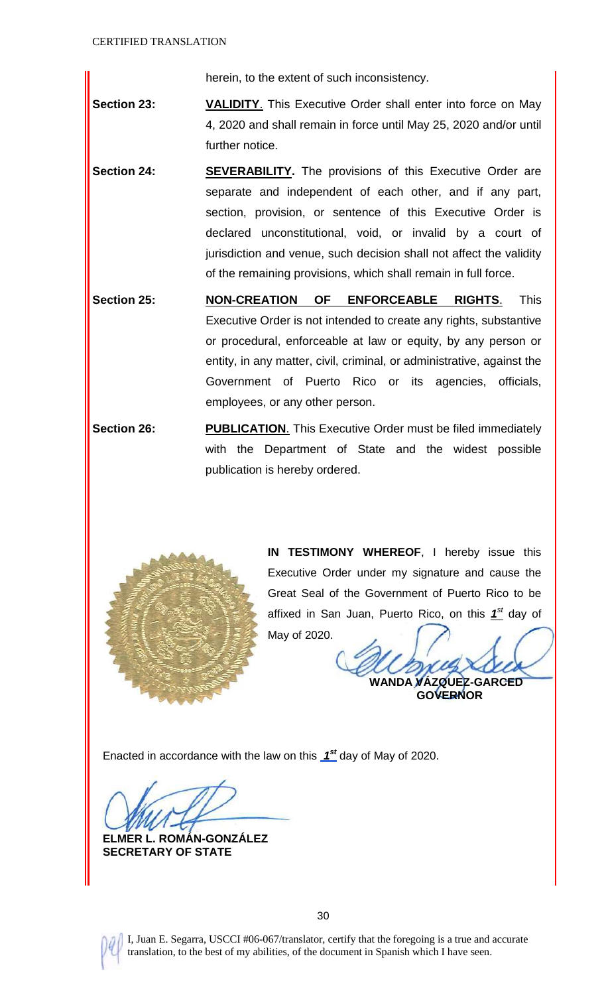herein, to the extent of such inconsistency.

- **Section 23: VALIDITY**. This Executive Order shall enter into force on May 4, 2020 and shall remain in force until May 25, 2020 and/or until further notice.
- **Section 24: SEVERABILITY.** The provisions of this Executive Order are separate and independent of each other, and if any part, section, provision, or sentence of this Executive Order is declared unconstitutional, void, or invalid by a court of jurisdiction and venue, such decision shall not affect the validity of the remaining provisions, which shall remain in full force.
- **Section 25: NON-CREATION OF ENFORCEABLE RIGHTS**. This Executive Order is not intended to create any rights, substantive or procedural, enforceable at law or equity, by any person or entity, in any matter, civil, criminal, or administrative, against the Government of Puerto Rico or its agencies, officials, employees, or any other person.
- **Section 26: PUBLICATION.** This Executive Order must be filed immediately with the Department of State and the widest possible publication is hereby ordered.



**IN TESTIMONY WHEREOF**, I hereby issue this Executive Order under my signature and cause the Great Seal of the Government of Puerto Rico to be affixed in San Juan, Puerto Rico, on this  $1^{\text{st}}$  day of May of 2020.

**WANDA VÁZQUEZ-GARCED**

 **GOVERNOR**

Enacted in accordance with the law on this *1 st* day of May of 2020.

**ELMER L. ROMÁN-GONZÁLEZ SECRETARY OF STATE**